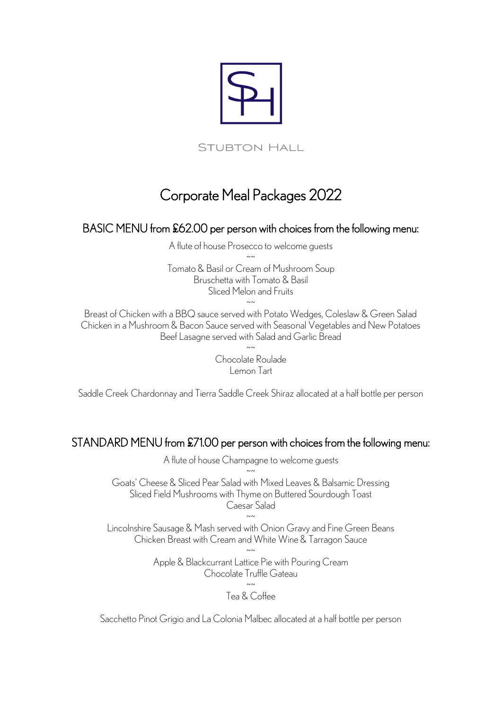

**STUBTON HALL** 

## Corporate Meal Packages 2022

## BASIC MENU from £62.00 per person with choices from the following menu:

A flute of house Prosecco to welcome guests

 $\sim$   $\sim$ Tomato & Basil or Cream of Mushroom Soup Bruschetta with Tomato & Basil Sliced Melon and Fruits  $\sim$   $\sim$ 

Breast of Chicken with a BBQ sauce served with Potato Wedges, Coleslaw & Green Salad Chicken in a Mushroom & Bacon Sauce served with Seasonal Vegetables and New Potatoes Beef Lasagne served with Salad and Garlic Bread

 $\sim$   $\sim$ Chocolate Roulade Lemon Tart

Saddle Creek Chardonnay and Tierra Saddle Creek Shiraz allocated at a half bottle per person

## STANDARD MENU from £71.00 per person with choices from the following menu:

A flute of house Champagne to welcome guests

 $\sim$   $\sim$ Goats' Cheese & Sliced Pear Salad with Mixed Leaves & Balsamic Dressing Sliced Field Mushrooms with Thyme on Buttered Sourdough Toast Caesar Salad

 $\sim$   $\sim$ Lincolnshire Sausage & Mash served with Onion Gravy and Fine Green Beans Chicken Breast with Cream and White Wine & Tarragon Sauce ~~

> Apple & Blackcurrant Lattice Pie with Pouring Cream Chocolate Truffle Gateau

> > $\sim$   $\sim$ Tea & Coffee

Sacchetto Pinot Grigio and La Colonia Malbec allocated at a half bottle per person